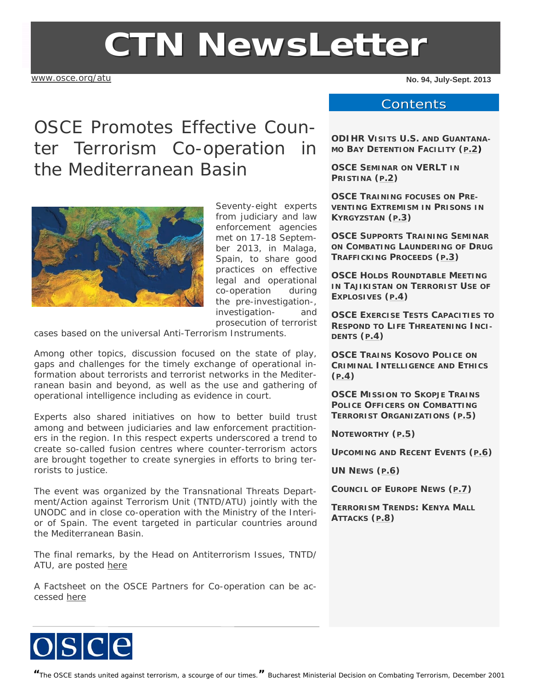# **CTN NewsLetter**

[www.osce.org/atu](http://www.osce.org/atu)

**No. 94, July-Sept. 2013** 

## OSCE Promotes Effective Counter Terrorism Co-operation in the Mediterranean Basin



Seventy-eight experts from judiciary and law enforcement agencies met on 17-18 September 2013, in Malaga, Spain, to share good practices on effective legal and operational co-operation during the pre-investigation-, investigation- and prosecution of terrorist

cases based on the universal Anti-Terrorism Instruments.

Among other topics, discussion focused on the state of play, gaps and challenges for the timely exchange of operational information about terrorists and terrorist networks in the Mediterranean basin and beyond, as well as the use and gathering of operational intelligence including as evidence in court.

Experts also shared initiatives on how to better build trust among and between judiciaries and law enforcement practitioners in the region. In this respect experts underscored a trend to create so-called fusion centres where counter-terrorism actors are brought together to create synergies in efforts to bring terrorists to justice.

The event was organized by the Transnational Threats Department/Action against Terrorism Unit (TNTD/ATU) jointly with the UNODC and in close co-operation with the Ministry of the Interior of Spain. The event targeted in particular countries around the Mediterranean Basin.

The final remarks, by the Head on Antiterrorism Issues, TNTD/ ATU, are posted [here](http://www.osce.org/atu/76234)

A Factsheet on the OSCE Partners for Co-operation can be accessed here

#### **Contents**

**ODIHR VISITS U.S. AND GUANTANA-MO BAY DETENTION FACILITY ([P.2](#page-1-0))**

**OSCE SEMINAR ON VERLT IN PRISTINA ([P.2\)](#page-1-0)** 

**OSCE TRAINING FOCUSES ON PRE-VENTING EXTREMISM IN PRISONS IN KYRGYZSTAN ([P.3](#page-2-0))** 

**OSCE SUPPORTS TRAINING SEMINAR ON COMBATING LAUNDERING OF DRUG TRAFFICKING PROCEEDS ([P.3](#page-2-0))** 

**OSCE HOLDS ROUNDTABLE MEETING IN TAJIKISTAN ON TERRORIST USE OF EXPLOSIVES (P.4)** 

**OSCE EXERCISE TESTS CAPACITIES TO RESPOND TO LIFE THREATENING INCI-DENTS ([P.4\)](#page-3-0)** 

**OSCE TRAINS KOSOVO POLICE ON CRIMINAL INTELLIGENCE AND ETHICS ([P.4\)](#page-3-0)** 

**OSCE MISSION TO SKOPJE TRAINS POLICE OFFICERS ON COMBATTING TERRORIST ORGANIZATIONS ([P.5\)](#page-4-0)** 

**NOTEWORTHY ([P.5](#page-4-0))** 

**UPCOMING AND RECENT EVENTS ([P.6\)](#page-5-0)** 

**UN NEWS ([P.6\)](#page-5-0)** 

**COUNCIL OF EUROPE NEWS ([P.7\)](#page-6-0)** 

**TERRORISM TRENDS: KENYA MALL ATTACKS ([P.8\)](#page-7-0)** 

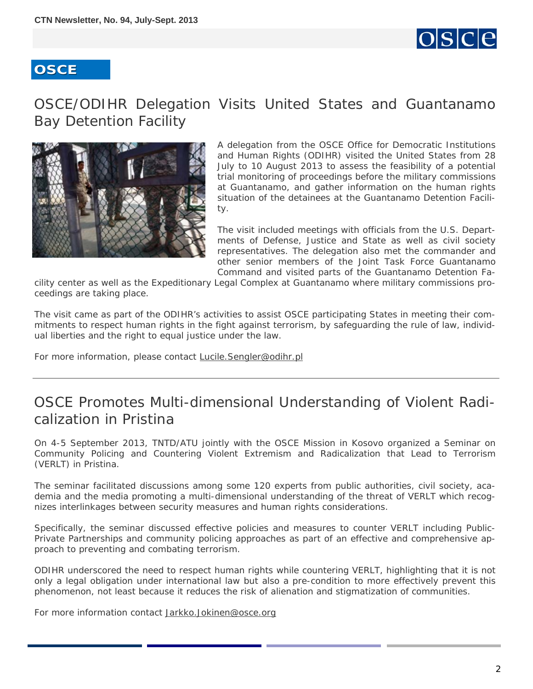

#### <span id="page-1-0"></span>OSCE/ODIHR Delegation Visits United States and Guantanamo Bay Detention Facility



A delegation from the OSCE Office for Democratic Institutions and Human Rights (ODIHR) visited the United States from 28 July to 10 August 2013 to assess the feasibility of a potential trial monitoring of proceedings before the military commissions at Guantanamo, and gather information on the human rights situation of the detainees at the Guantanamo Detention Facility.

The visit included meetings with officials from the U.S. Departments of Defense, Justice and State as well as civil society representatives. The delegation also met the commander and other senior members of the Joint Task Force Guantanamo Command and visited parts of the Guantanamo Detention Fa-

cility center as well as the Expeditionary Legal Complex at Guantanamo where military commissions proceedings are taking place.

The visit came as part of the ODIHR's activities to assist OSCE participating States in meeting their commitments to respect human rights in the fight against terrorism, by safeguarding the rule of law, individual liberties and the right to equal justice under the law.

For more information, please contact [Lucile.Sengler@odihr.pl](mailto:Lucile.Sengler@odihr.pl)

### OSCE Promotes Multi-dimensional Understanding of Violent Radicalization in Pristina

On 4-5 September 2013, TNTD/ATU jointly with the OSCE Mission in Kosovo organized a *Seminar on Community Policing and Countering Violent Extremism and Radicalization that Lead to Terrorism (VERLT)* in Pristina.

The seminar facilitated discussions among some 120 experts from public authorities, civil society, academia and the media promoting a multi-dimensional understanding of the threat of VERLT which recognizes interlinkages between security measures and human rights considerations.

Specifically, the seminar discussed effective policies and measures to counter VERLT including Public-Private Partnerships and community policing approaches as part of an effective and comprehensive approach to preventing and combating terrorism.

ODIHR underscored the need to respect human rights while countering VERLT, highlighting that it is not only a legal obligation under international law but also a pre-condition to more effectively prevent this phenomenon, not least because it reduces the risk of alienation and stigmatization of communities.

For more information contact [Jarkko.Jokinen@osce.org](mailto:Jarkko.Jokinen@osce.org)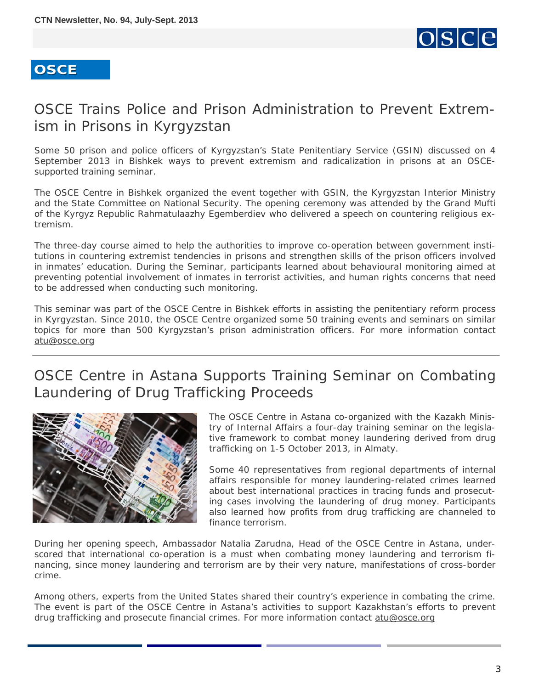

## <span id="page-2-0"></span>OSCE Trains Police and Prison Administration to Prevent Extremism in Prisons in Kyrgyzstan

Some 50 prison and police officers of Kyrgyzstan's State Penitentiary Service (GSIN) discussed on 4 September 2013 in Bishkek ways to prevent extremism and radicalization in prisons at an OSCEsupported training seminar.

The OSCE Centre in Bishkek organized the event together with GSIN, the Kyrgyzstan Interior Ministry and the State Committee on National Security. The opening ceremony was attended by the Grand Mufti of the Kyrgyz Republic Rahmatulaazhy Egemberdiev who delivered a speech on countering religious extremism.

The three-day course aimed to help the authorities to improve co-operation between government institutions in countering extremist tendencies in prisons and strengthen skills of the prison officers involved in inmates' education. During the Seminar, participants learned about behavioural monitoring aimed at preventing potential involvement of inmates in terrorist activities, and human rights concerns that need to be addressed when conducting such monitoring.

This seminar was part of the OSCE Centre in Bishkek efforts in assisting the penitentiary reform process in Kyrgyzstan. Since 2010, the OSCE Centre organized some 50 training events and seminars on similar topics for more than 500 Kyrgyzstan's prison administration officers. For more information contact [atu@osce.org](mailto:atu@osce.org)

## OSCE Centre in Astana Supports Training Seminar on Combating Laundering of Drug Trafficking Proceeds



The OSCE Centre in Astana co-organized with the Kazakh Ministry of Internal Affairs a four-day training seminar on the legislative framework to combat money laundering derived from drug trafficking on 1-5 October 2013, in Almaty.

Some 40 representatives from regional departments of internal affairs responsible for money laundering-related crimes learned about best international practices in tracing funds and prosecuting cases involving the laundering of drug money. Participants also learned how profits from drug trafficking are channeled to finance terrorism.

During her opening speech, Ambassador Natalia Zarudna, Head of the OSCE Centre in Astana, underscored that international co-operation is a must when combating money laundering and terrorism financing, since money laundering and terrorism are by their very nature, manifestations of cross-border crime.

Among others, experts from the United States shared their country's experience in combating the crime. The event is part of the OSCE Centre in Astana's activities to support Kazakhstan's efforts to prevent drug trafficking and prosecute financial crimes. For more information contact atu@osce.org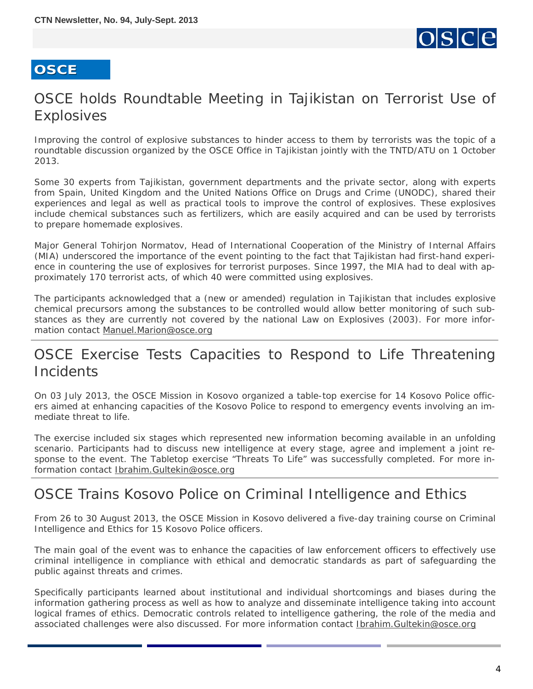

## <span id="page-3-0"></span>OSCE holds Roundtable Meeting in Tajikistan on Terrorist Use of Explosives

Improving the control of explosive substances to hinder access to them by terrorists was the topic of a roundtable discussion organized by the OSCE Office in Tajikistan jointly with the TNTD/ATU on 1 October 2013.

Some 30 experts from Tajikistan, government departments and the private sector, along with experts from Spain, United Kingdom and the United Nations Office on Drugs and Crime (UNODC), shared their experiences and legal as well as practical tools to improve the control of explosives. These explosives include chemical substances such as fertilizers, which are easily acquired and can be used by terrorists to prepare homemade explosives.

Major General Tohirjon Normatov, Head of International Cooperation of the Ministry of Internal Affairs (MIA) underscored the importance of the event pointing to the fact that Tajikistan had first-hand experience in countering the use of explosives for terrorist purposes. Since 1997, the MIA had to deal with approximately 170 terrorist acts, of which 40 were committed using explosives.

The participants acknowledged that a (new or amended) regulation in Tajikistan that includes explosive chemical precursors among the substances to be controlled would allow better monitoring of such substances as they are currently not covered by the national Law on Explosives (2003). For more information contact [Manuel.Marion@osce.org](mailto:Manuel.Marion@osce.org)

## OSCE Exercise Tests Capacities to Respond to Life Threatening **Incidents**

On 03 July 2013, the OSCE Mission in Kosovo organized a table-top exercise for 14 Kosovo Police officers aimed at enhancing capacities of the Kosovo Police to respond to emergency events involving an immediate threat to life.

The exercise included six stages which represented new information becoming available in an unfolding scenario. Participants had to discuss new intelligence at every stage, agree and implement a joint response to the event. The Tabletop exercise "Threats To Life" was successfully completed. For more information contact [Ibrahim.Gultekin@osce.org](mailto:Ibrahim.Gultekin@osce.org)

### OSCE Trains Kosovo Police on Criminal Intelligence and Ethics

From 26 to 30 August 2013, the OSCE Mission in Kosovo delivered a five-day training course on Criminal Intelligence and Ethics for 15 Kosovo Police officers.

The main goal of the event was to enhance the capacities of law enforcement officers to effectively use criminal intelligence in compliance with ethical and democratic standards as part of safeguarding the public against threats and crimes.

Specifically participants learned about institutional and individual shortcomings and biases during the information gathering process as well as how to analyze and disseminate intelligence taking into account logical frames of ethics. Democratic controls related to intelligence gathering, the role of the media and associated challenges were also discussed. For more information contact [Ibrahim.Gultekin@osce.org](mailto:Ibrahim.Gultekin@osce.org)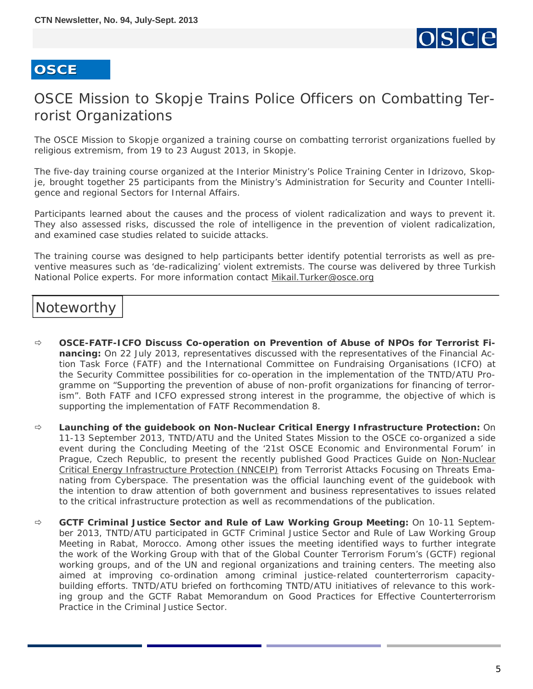

## <span id="page-4-0"></span>OSCE Mission to Skopje Trains Police Officers on Combatting Terrorist Organizations

The OSCE Mission to Skopje organized a training course on combatting terrorist organizations fuelled by religious extremism, from 19 to 23 August 2013, in Skopje.

The five-day training course organized at the Interior Ministry's Police Training Center in Idrizovo, Skopje, brought together 25 participants from the Ministry's Administration for Security and Counter Intelligence and regional Sectors for Internal Affairs.

Participants learned about the causes and the process of violent radicalization and ways to prevent it. They also assessed risks, discussed the role of intelligence in the prevention of violent radicalization, and examined case studies related to suicide attacks.

The training course was designed to help participants better identify potential terrorists as well as preventive measures such as 'de-radicalizing' violent extremists. The course was delivered by three Turkish National Police experts. For more information contact Mikail.Turker@osce.org

#### Noteworthy

- **OSCE-FATF-ICFO Discuss Co-operation on Prevention of Abuse of NPOs for Terrorist Financing:** On 22 July 2013, representatives discussed with the representatives of the Financial Action Task Force (FATF) and the International Committee on Fundraising Organisations (ICFO) at the Security Committee possibilities for co-operation in the implementation of the TNTD/ATU Programme on "Supporting the prevention of abuse of non-profit organizations for financing of terrorism". Both FATF and ICFO expressed strong interest in the programme, the objective of which is supporting the implementation of FATF Recommendation 8.
- **Launching of the guidebook on Non-Nuclear Critical Energy Infrastructure Protection:** On 11-13 September 2013, TNTD/ATU and the United States Mission to the OSCE co-organized a side event during the Concluding Meeting of the '*21st OSCE Economic and Environmental Forum*' in Prague, Czech Republic, to present the recently published Good Practices Guide on [Non-Nuclear](http://www.osce.org/atu/103500) [Critical Energy Infrastructure Protection \(NNCEIP\)](http://www.osce.org/atu/103500) from Terrorist Attacks Focusing on Threats Emanating from Cyberspace. The presentation was the official launching event of the guidebook with the intention to draw attention of both government and business representatives to issues related to the critical infrastructure protection as well as recommendations of the publication.
- **GCTF Criminal Justice Sector and Rule of Law Working Group Meeting:** On 10-11 September 2013, TNTD/ATU participated in GCTF Criminal Justice Sector and Rule of Law Working Group Meeting in Rabat, Morocco. Among other issues the meeting identified ways to further integrate the work of the Working Group with that of the Global Counter Terrorism Forum's (GCTF) regional working groups, and of the UN and regional organizations and training centers. The meeting also aimed at improving co-ordination among criminal justice-related counterterrorism capacitybuilding efforts. TNTD/ATU briefed on forthcoming TNTD/ATU initiatives of relevance to this working group and the GCTF Rabat Memorandum on Good Practices for Effective Counterterrorism Practice in the Criminal Justice Sector.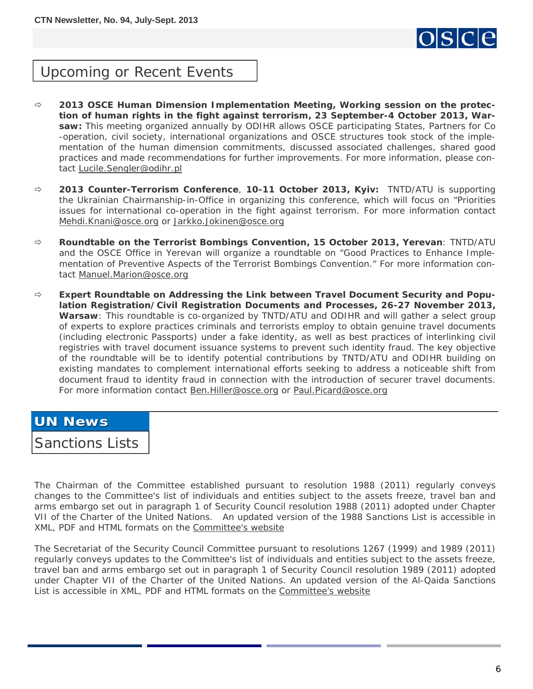

#### <span id="page-5-0"></span>Upcoming or Recent Events

- **2013 OSCE Human Dimension Implementation Meeting, Working session on the protection of human rights in the fight against terrorism, 23 September-4 October 2013, Warsaw:** This meeting organized annually by ODIHR allows OSCE participating States, Partners for Co -operation, civil society, international organizations and OSCE structures took stock of the implementation of the human dimension commitments, discussed associated challenges, shared good practices and made recommendations for further improvements. For more information, please contact [Lucile.Sengler@odihr.pl](mailto:Lucile.Sengler@odihr.pl)
- **2013 Counter-Terrorism Conference**, **10-11 October 2013, Kyiv:** TNTD/ATU is supporting the Ukrainian Chairmanship-in-Office in organizing this conference, which will focus on "Priorities issues for international co-operation in the fight against terrorism. For more information contact [Mehdi.Knani@osce.org](mailto:Mehdi.Knani@osce.org) or [Jarkko.Jokinen@osce.org](mailto:Jarkko.Jokinen@osce.org)
- **Roundtable on the Terrorist Bombings Convention, 15 October 2013, Yerevan**: TNTD/ATU and the OSCE Office in Yerevan will organize a roundtable on "*Good Practices to Enhance Implementation of Preventive Aspects of the Terrorist Bombings Convention.*" For more information contact [Manuel.Marion@osce.org](mailto:Manuel.Marion@osce.org)
- **Expert Roundtable on Addressing the Link between Travel Document Security and Population Registration/Civil Registration Documents and Processes, 26-27 November 2013, Warsaw***:* This roundtable is *c*o-organized by TNTD/ATU and ODIHR and will gather a select group of experts to explore practices criminals and terrorists employ to obtain genuine travel documents (including electronic Passports) under a fake identity, as well as best practices of interlinking civil registries with travel document issuance systems to prevent such identity fraud. The key objective of the roundtable will be to identify potential contributions by TNTD/ATU and ODIHR building on existing mandates to complement international efforts seeking to address a noticeable shift from document fraud to identity fraud in connection with the introduction of securer travel documents. For more information contact [Ben.Hiller@osce.org](mailto:Ben.Hiller@osce.org) or [Paul.Picard@osce.org](mailto:paul.picard@osce.org)

#### **UN News UN News**

Sanctions Lists

The Chairman of the Committee established pursuant to resolution 1988 (2011) regularly conveys changes to the Committee's list of individuals and entities subject to the assets freeze, travel ban and arms embargo set out in paragraph 1 of Security Council resolution 1988 (2011) adopted under Chapter VII of the Charter of the United Nations. An updated version of the 1988 Sanctions List is accessible in XML, PDF and HTML formats on the [Committee's website](http://www.un.org/sc/committees/1988/list.shtml)

The Secretariat of the Security Council Committee pursuant to resolutions 1267 (1999) and 1989 (2011) regularly conveys updates to the Committee's list of individuals and entities subject to the assets freeze, travel ban and arms embargo set out in paragraph 1 of Security Council resolution 1989 (2011) adopted under Chapter VII of the Charter of the United Nations. An updated version of the Al-Qaida Sanctions List is accessible in XML, PDF and HTML formats on the [Committee's website](http://www.un.org/sc/committees/1267/aq_sanctions_list.shtml.)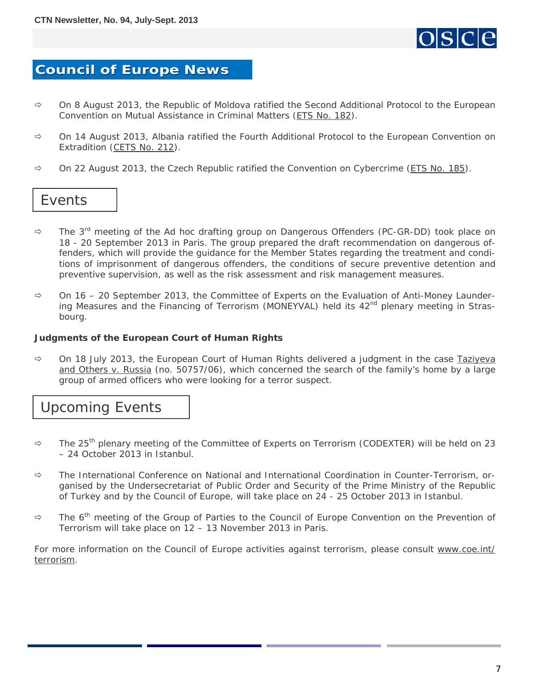

#### <span id="page-6-0"></span>**Council of Europe News Council of Europe News**

- On 8 August 2013, the Republic of Moldova ratified *the Second Additional Protocol to the European Convention on Mutual Assistance in Criminal Matters* ([ETS No. 182\)](http://conventions.coe.int/Treaty/Commun/QueVoulezVous.asp?NT=182&CM=1&CL=ENG).
- On 14 August 2013, Albania ratified *the Fourth Additional Protocol to the European Convention on Extradition* ([CETS No. 212](http://conventions.coe.int/Treaty/Commun/QueVoulezVous.asp?NT=212&CM=1&CL=ENG)).
- On 22 August 2013, the Czech Republic ratified *the Convention on Cybercrime* ([ETS No. 185](http://conventions.coe.int/Treaty/Commun/QueVoulezVous.asp?NT=185&CM=1&CL=ENG)).

#### Events

- The 3rd meeting of *the Ad hoc drafting group on Dangerous Offenders (PC-GR-DD)* took place on 18 - 20 September 2013 in Paris. The group prepared the draft recommendation on dangerous offenders, which will provide the guidance for the Member States regarding the treatment and conditions of imprisonment of dangerous offenders, the conditions of secure preventive detention and preventive supervision, as well as the risk assessment and risk management measures.
- On 16 20 September 2013, *the Committee of Experts on the Evaluation of Anti-Money Launder*ing Measures and the Financing of Terrorism (MONEYVAL) held its 42<sup>nd</sup> plenary meeting in Strasbourg.

#### **Judgments of the European Court of Human Rights**

 On 18 July 2013, the European Court of Human Rights delivered a judgment in the case *[Taziyeva](http://hudoc.echr.coe.int/sites/eng/pages/search.aspx?i=001-122426) [and Others v. Russia](http://hudoc.echr.coe.int/sites/eng/pages/search.aspx?i=001-122426)* (no. 50757/06), which concerned the search of the family's home by a large group of armed officers who were looking for a terror suspect.

#### Upcoming Events

- The 25th plenary meeting of *the Committee of Experts on Terrorism (CODEXTER)* will be held on 23 – 24 October 2013 in Istanbul.
- *The International Conference on National and International Coordination in Counter-Terrorism,* organised by the Undersecretariat of Public Order and Security of the Prime Ministry of the Republic of Turkey and by the Council of Europe, will take place on 24 - 25 October 2013 in Istanbul.
- $\Rightarrow$  The 6<sup>th</sup> meeting of *the Group of Parties to the Council of Europe Convention on the Prevention of Terrorism* will take place on 12 – 13 November 2013 in Paris.

For more information on the Council of Europe activities against terrorism, please consult [www.coe.int/](http://www.coe.int/terrorism) [terrorism.](http://www.coe.int/terrorism)